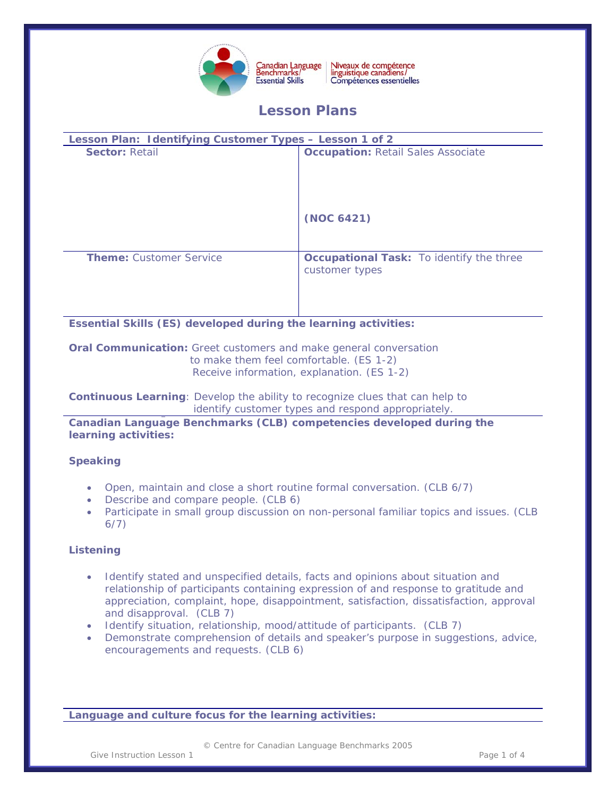

Niveaux de compétence<br>linguistique canadiens/ Canadian Language<br>Benchmarks/ Compétences essentielles

# **Lesson Plans**

| Lesson Plan: Identifying Customer Types - Lesson 1 of 2 |                                                                   |
|---------------------------------------------------------|-------------------------------------------------------------------|
| <b>Sector: Retail</b>                                   | <b>Occupation: Retail Sales Associate</b>                         |
|                                                         | (NOC 6421)                                                        |
| <b>Theme: Customer Service</b>                          | <b>Occupational Task:</b> To identify the three<br>customer types |

**Essential Skills (ES) developed during the learning activities:**

**Oral Communication:** Greet customers and make general conversation to make them feel comfortable. (ES 1-2)

Receive information, explanation. (ES 1-2)

**Continuous Learning**: Develop the ability to recognize clues that can help to identify customer types and respond appropriately.

**Canadian Language Benchmarks (CLB) competencies developed during the learning activities:**

# **Speaking**

- Open, maintain and close a short routine formal conversation. (CLB 6/7)
- Describe and compare people. (CLB 6)
- Participate in small group discussion on non-personal familiar topics and issues. (CLB 6/7)

# **Listening**

- Identify stated and unspecified details, facts and opinions about situation and relationship of participants containing expression of and response to gratitude and appreciation, complaint, hope, disappointment, satisfaction, dissatisfaction, approval and disapproval. (CLB 7)
- Identify situation, relationship, mood/attitude of participants. (CLB 7)
- Demonstrate comprehension of details and speaker's purpose in suggestions, advice, encouragements and requests. (CLB 6)

**Language and culture focus for the learning activities:** 

© Centre for Canadian Language Benchmarks 2005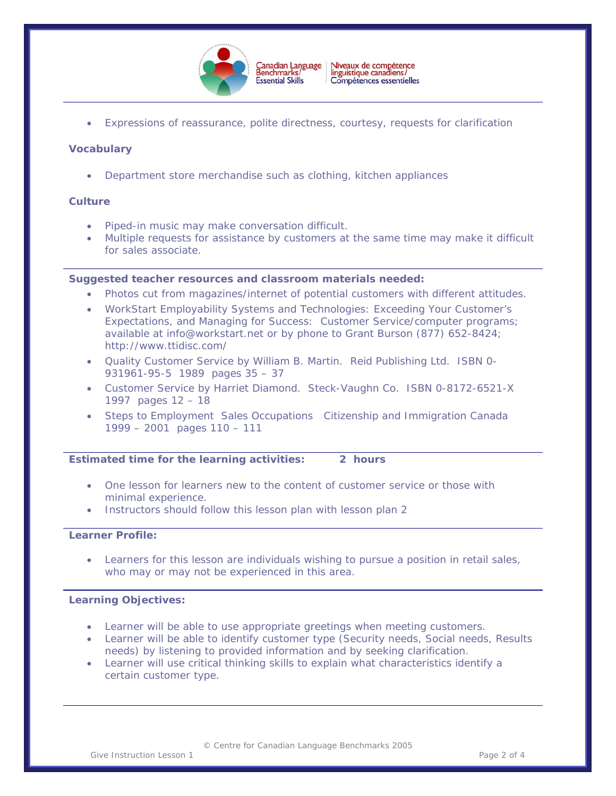

• Expressions of reassurance, polite directness, courtesy, requests for clarification

### **Vocabulary**

• Department store merchandise such as clothing, kitchen appliances

#### **Culture**

- Piped-in music may make conversation difficult.
- Multiple requests for assistance by customers at the same time may make it difficult for sales associate.

#### **Suggested teacher resources and classroom materials needed:**

- Photos cut from magazines/internet of potential customers with different attitudes.
- WorkStart Employability Systems and Technologies: Exceeding Your Customer's Expectations, and Managing for Success: Customer Service/computer programs; available at [info@workstart.net](mailto:info@workstart.net) or by phone to Grant Burson (877) 652-8424; http://www.ttidisc.com/
- Quality Customer Service by William B. Martin. Reid Publishing Ltd. ISBN 0- 931961-95-5 1989 pages 35 – 37
- Customer Service by Harriet Diamond. Steck-Vaughn Co. ISBN 0-8172-6521-X 1997 pages 12 – 18
- Steps to Employment Sales Occupations Citizenship and Immigration Canada 1999 – 2001 pages 110 – 111

#### **Estimated time for the learning activities: 2 hours**

- One lesson for learners new to the content of customer service or those with minimal experience.
- Instructors should follow this lesson plan with lesson plan 2

#### **Learner Profile:**

Learners for this lesson are individuals wishing to pursue a position in retail sales, who may or may not be experienced in this area.

#### **Learning Objectives:**

- Learner will be able to use appropriate greetings when meeting customers.
- Learner will be able to identify customer type (Security needs, Social needs, Results needs) by listening to provided information and by seeking clarification.
- Learner will use critical thinking skills to explain what characteristics identify a certain customer type.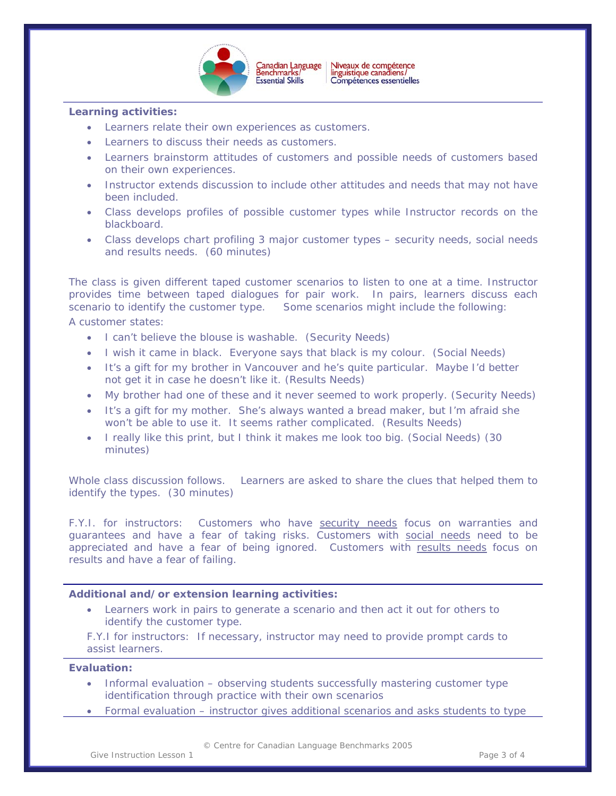

#### **Learning activities:**

- Learners relate their own experiences as customers.
- Learners to discuss their needs as customers.
- Learners brainstorm attitudes of customers and possible needs of customers based on their own experiences.
- Instructor extends discussion to include other attitudes and needs that may not have been included.
- Class develops profiles of possible customer types while Instructor records on the blackboard.
- Class develops chart profiling 3 major customer types security needs, social needs and results needs. (60 minutes)

The class is given different taped customer scenarios to listen to one at a time. Instructor provides time between taped dialogues for pair work. In pairs, learners discuss each scenario to identify the customer type. Some scenarios might include the following: A customer states:

- I can't believe the blouse is washable. (Security Needs)
- I wish it came in black. Everyone says that black is my colour. (Social Needs)
- It's a gift for my brother in Vancouver and he's quite particular. Maybe I'd better not get it in case he doesn't like it. (Results Needs)
- My brother had one of these and it never seemed to work properly. (Security Needs)
- It's a gift for my mother. She's always wanted a bread maker, but I'm afraid she won't be able to use it. It seems rather complicated. (Results Needs)
- I really like this print, but I think it makes me look too big. (Social Needs) (30 minutes)

Whole class discussion follows. Learners are asked to share the clues that helped them to identify the types. (30 minutes)

F.Y.I. for instructors: Customers who have *security needs* focus on warranties and guarantees and have a fear of taking risks. Customers with *social needs* need to be appreciated and have a fear of being ignored. Customers with *results needs* focus on results and have a fear of failing.

#### **Additional and/or extension learning activities:**

• Learners work in pairs to generate a scenario and then act it out for others to identify the customer type.

F.Y.I for instructors: If necessary, instructor may need to provide prompt cards to assist learners.

#### **Evaluation:**

- Informal evaluation observing students successfully mastering customer type identification through practice with their own scenarios
- Formal evaluation instructor gives additional scenarios and asks students to type